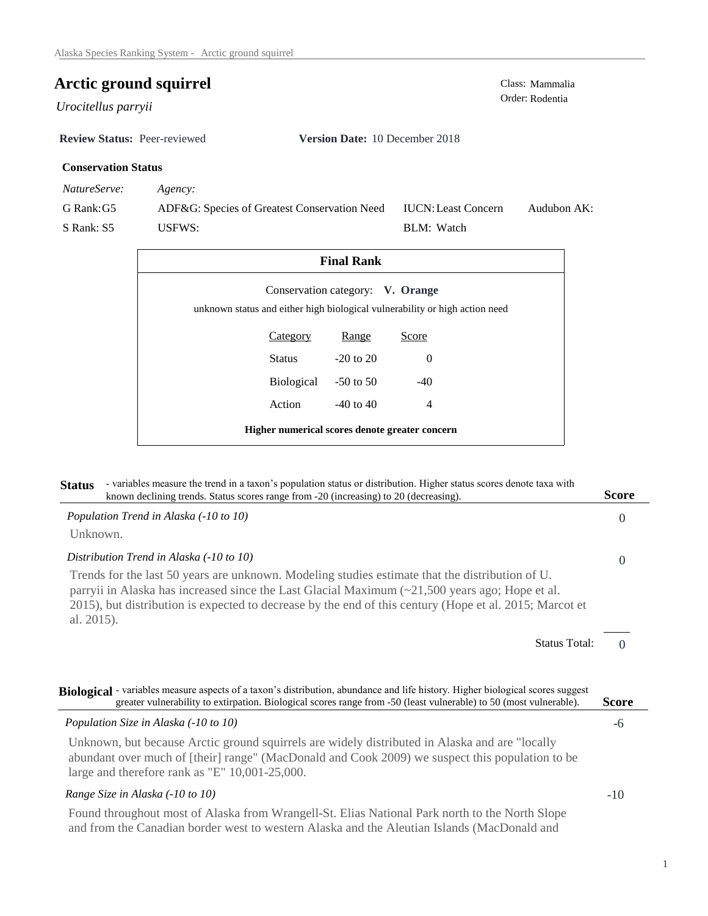## **Arctic ground squirrel** Class: Mammalia Class: Mammalia

Order: Rodentia *Urocitellus parryii* 

**Review Status:** Peer-reviewed **Version Date:** 10 December 2018

#### **Conservation Status**

*NatureServe: Agency:*

G Rank:G5

S Rank: S5

ADF&G: Species of Greatest Conservation Need USFWS: Audubon AK: BLM: Watch IUCN:Least Concern

| <b>Final Rank</b>                                                                                               |                 |               |                |  |  |
|-----------------------------------------------------------------------------------------------------------------|-----------------|---------------|----------------|--|--|
| Conservation category: V. Orange<br>unknown status and either high biological vulnerability or high action need |                 |               |                |  |  |
|                                                                                                                 | <b>Category</b> | Range         | Score          |  |  |
|                                                                                                                 | Status          | $-20$ to $20$ | $\Omega$       |  |  |
|                                                                                                                 | Biological      | $-50$ to 50   | $-40$          |  |  |
|                                                                                                                 | Action          | $-40$ to $40$ | $\overline{4}$ |  |  |
| Higher numerical scores denote greater concern                                                                  |                 |               |                |  |  |

| - variables measure the trend in a taxon's population status or distribution. Higher status scores denote taxa with<br><b>Status</b><br>known declining trends. Status scores range from -20 (increasing) to 20 (decreasing).                                                                                                    | Score        |
|----------------------------------------------------------------------------------------------------------------------------------------------------------------------------------------------------------------------------------------------------------------------------------------------------------------------------------|--------------|
| Population Trend in Alaska (-10 to 10)                                                                                                                                                                                                                                                                                           | $\Omega$     |
| Unknown.                                                                                                                                                                                                                                                                                                                         |              |
| Distribution Trend in Alaska (-10 to 10)                                                                                                                                                                                                                                                                                         | $\Omega$     |
| Trends for the last 50 years are unknown. Modeling studies estimate that the distribution of U.<br>parryii in Alaska has increased since the Last Glacial Maximum $(\sim 21,500$ years ago; Hope et al.<br>2015), but distribution is expected to decrease by the end of this century (Hope et al. 2015; Marcot et<br>al. 2015). |              |
| <b>Status Total:</b>                                                                                                                                                                                                                                                                                                             | $\Omega$     |
| Biological - variables measure aspects of a taxon's distribution, abundance and life history. Higher biological scores suggest<br>greater vulnerability to extirpation. Biological scores range from -50 (least vulnerable) to 50 (most vulnerable).                                                                             | <b>Score</b> |
| Population Size in Alaska (-10 to 10)                                                                                                                                                                                                                                                                                            | -6           |
| Unknown, but because Arctic ground squirrels are widely distributed in Alaska and are "locally<br>abundant over much of [their] range" (MacDonald and Cook 2009) we suspect this population to be<br>large and therefore rank as "E" 10,001-25,000.                                                                              |              |
| Range Size in Alaska (-10 to 10)                                                                                                                                                                                                                                                                                                 | $-10$        |
| Found throughout most of Alaska from Wrangell-St. Elias National Park north to the North Slope<br>and from the Canadian border west to western Alaska and the Aleutian Islands (MacDonald and                                                                                                                                    |              |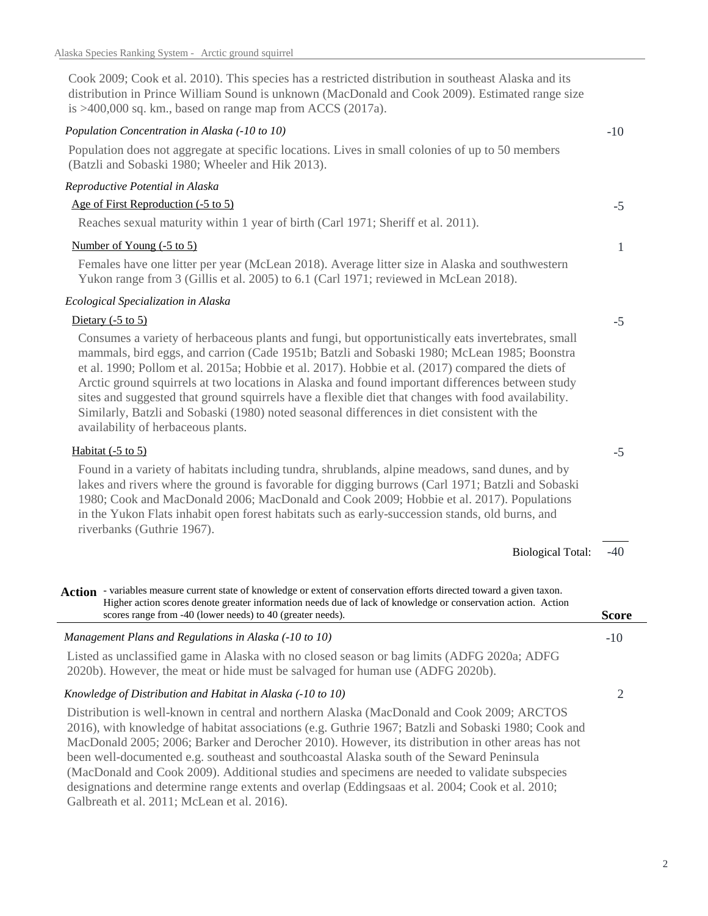Cook 2009; Cook et al. 2010). This species has a restricted distribution in southeast Alaska and its distribution in Prince William Sound is unknown (MacDonald and Cook 2009). Estimated range size is >400,000 sq. km., based on range map from ACCS (2017a).

#### *Population Concentration in Alaska (-10 to 10)*

Population does not aggregate at specific locations. Lives in small colonies of up to 50 members (Batzli and Sobaski 1980; Wheeler and Hik 2013).

#### *Reproductive Potential in Alaska*

#### Age of First Reproduction (-5 to 5)

Reaches sexual maturity within 1 year of birth (Carl 1971; Sheriff et al. 2011).

#### Number of Young (-5 to 5)

Females have one litter per year (McLean 2018). Average litter size in Alaska and southwestern Yukon range from 3 (Gillis et al. 2005) to 6.1 (Carl 1971; reviewed in McLean 2018).

#### *Ecological Specialization in Alaska*

#### Dietary  $(-5 \text{ to } 5)$

Consumes a variety of herbaceous plants and fungi, but opportunistically eats invertebrates, small mammals, bird eggs, and carrion (Cade 1951b; Batzli and Sobaski 1980; McLean 1985; Boonstra et al. 1990; Pollom et al. 2015a; Hobbie et al. 2017). Hobbie et al. (2017) compared the diets of Arctic ground squirrels at two locations in Alaska and found important differences between study sites and suggested that ground squirrels have a flexible diet that changes with food availability. Similarly, Batzli and Sobaski (1980) noted seasonal differences in diet consistent with the availability of herbaceous plants.

#### Habitat (-5 to 5)

Found in a variety of habitats including tundra, shrublands, alpine meadows, sand dunes, and by lakes and rivers where the ground is favorable for digging burrows (Carl 1971; Batzli and Sobaski 1980; Cook and MacDonald 2006; MacDonald and Cook 2009; Hobbie et al. 2017). Populations in the Yukon Flats inhabit open forest habitats such as early-succession stands, old burns, and riverbanks (Guthrie 1967).

> -40 Biological Total:

Action - variables measure current state of knowledge or extent of conservation efforts directed toward a given taxon. Higher action scores denote greater information needs due of lack of knowledge or conservation action. Action scores range from -40 (lower needs) to 40 (greater needs).

### *Management Plans and Regulations in Alaska (-10 to 10)*

Listed as unclassified game in Alaska with no closed season or bag limits (ADFG 2020a; ADFG 2020b). However, the meat or hide must be salvaged for human use (ADFG 2020b).

#### *Knowledge of Distribution and Habitat in Alaska (-10 to 10)*

Distribution is well-known in central and northern Alaska (MacDonald and Cook 2009; ARCTOS 2016), with knowledge of habitat associations (e.g. Guthrie 1967; Batzli and Sobaski 1980; Cook and MacDonald 2005; 2006; Barker and Derocher 2010). However, its distribution in other areas has not been well-documented e.g. southeast and southcoastal Alaska south of the Seward Peninsula (MacDonald and Cook 2009). Additional studies and specimens are needed to validate subspecies designations and determine range extents and overlap (Eddingsaas et al. 2004; Cook et al. 2010; Galbreath et al. 2011; McLean et al. 2016).

# -10

-5

1

-5

-5

2

-10

**Score**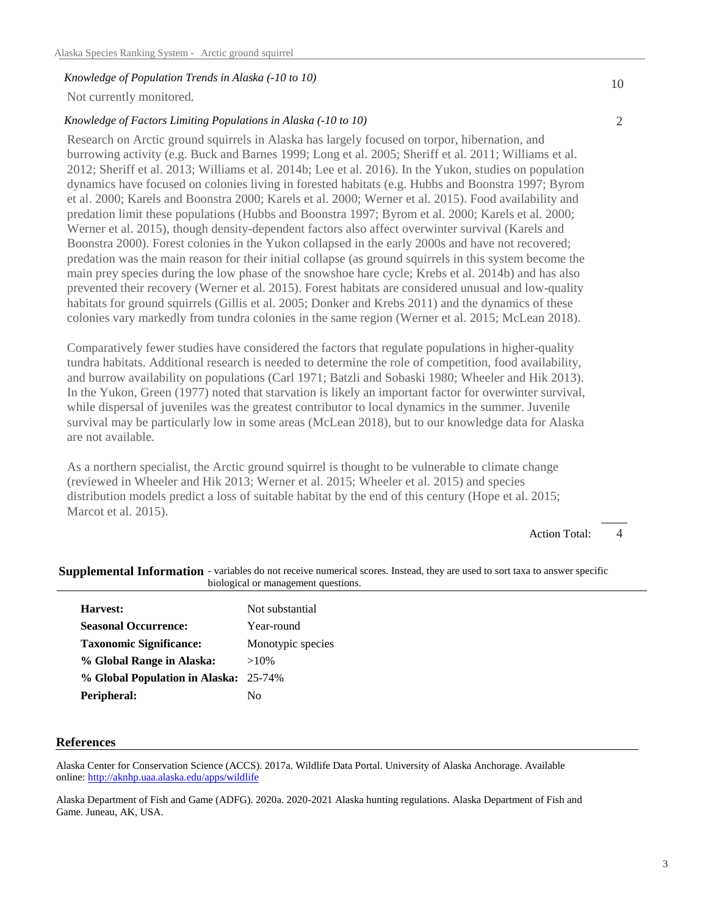#### *Knowledge of Population Trends in Alaska (-10 to 10)*

Not currently monitored.

#### *Knowledge of Factors Limiting Populations in Alaska (-10 to 10)*

Research on Arctic ground squirrels in Alaska has largely focused on torpor, hibernation, and burrowing activity (e.g. Buck and Barnes 1999; Long et al. 2005; Sheriff et al. 2011; Williams et al. 2012; Sheriff et al. 2013; Williams et al. 2014b; Lee et al. 2016). In the Yukon, studies on population dynamics have focused on colonies living in forested habitats (e.g. Hubbs and Boonstra 1997; Byrom et al. 2000; Karels and Boonstra 2000; Karels et al. 2000; Werner et al. 2015). Food availability and predation limit these populations (Hubbs and Boonstra 1997; Byrom et al. 2000; Karels et al. 2000; Werner et al. 2015), though density-dependent factors also affect overwinter survival (Karels and Boonstra 2000). Forest colonies in the Yukon collapsed in the early 2000s and have not recovered; predation was the main reason for their initial collapse (as ground squirrels in this system become the main prey species during the low phase of the snowshoe hare cycle; Krebs et al. 2014b) and has also prevented their recovery (Werner et al. 2015). Forest habitats are considered unusual and low-quality habitats for ground squirrels (Gillis et al. 2005; Donker and Krebs 2011) and the dynamics of these colonies vary markedly from tundra colonies in the same region (Werner et al. 2015; McLean 2018).

Comparatively fewer studies have considered the factors that regulate populations in higher-quality tundra habitats. Additional research is needed to determine the role of competition, food availability, and burrow availability on populations (Carl 1971; Batzli and Sobaski 1980; Wheeler and Hik 2013). In the Yukon, Green (1977) noted that starvation is likely an important factor for overwinter survival, while dispersal of juveniles was the greatest contributor to local dynamics in the summer. Juvenile survival may be particularly low in some areas (McLean 2018), but to our knowledge data for Alaska are not available.

As a northern specialist, the Arctic ground squirrel is thought to be vulnerable to climate change (reviewed in Wheeler and Hik 2013; Werner et al. 2015; Wheeler et al. 2015) and species distribution models predict a loss of suitable habitat by the end of this century (Hope et al. 2015; Marcot et al. 2015).

> 4 Action Total:

#### Supplemental Information - variables do not receive numerical scores. Instead, they are used to sort taxa to answer specific biological or management questions.

| Harvest:                              | Not substantial   |
|---------------------------------------|-------------------|
| <b>Seasonal Occurrence:</b>           | Year-round        |
| <b>Taxonomic Significance:</b>        | Monotypic species |
| % Global Range in Alaska:             | $>10\%$           |
| % Global Population in Alaska: 25-74% |                   |
| Peripheral:                           | Nο                |

#### **References**

Alaska Center for Conservation Science (ACCS). 2017a. Wildlife Data Portal. University of Alaska Anchorage. Available online: http://aknhp.uaa.alaska.edu/apps/wildlife

Alaska Department of Fish and Game (ADFG). 2020a. 2020-2021 Alaska hunting regulations. Alaska Department of Fish and Game. Juneau, AK, USA.

2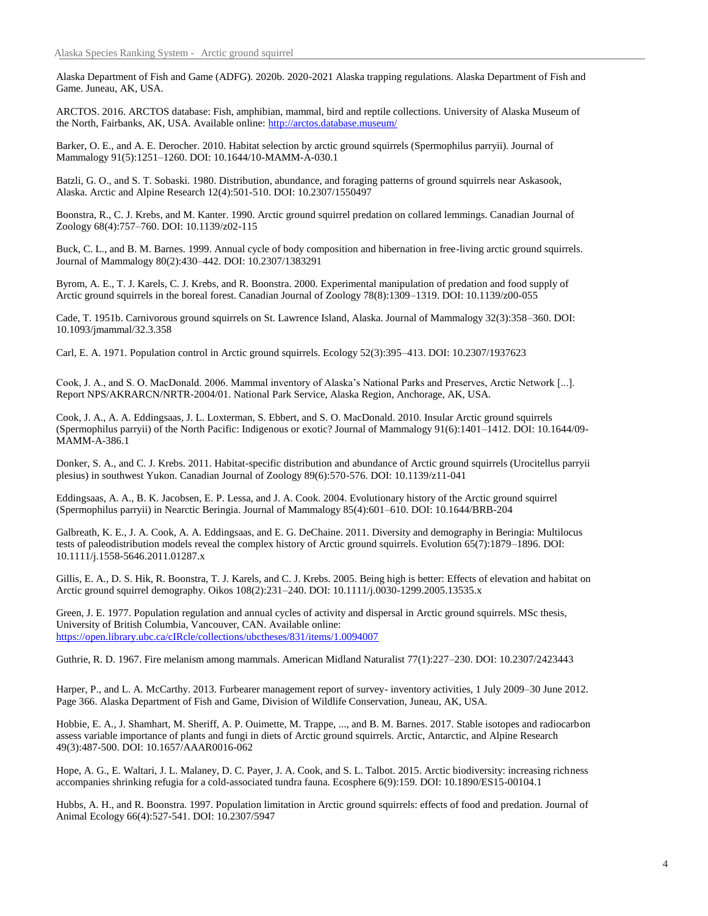Alaska Department of Fish and Game (ADFG). 2020b. 2020-2021 Alaska trapping regulations. Alaska Department of Fish and Game. Juneau, AK, USA.

ARCTOS. 2016. ARCTOS database: Fish, amphibian, mammal, bird and reptile collections. University of Alaska Museum of the North, Fairbanks, AK, USA. Available online: http://arctos.database.museum/

Barker, O. E., and A. E. Derocher. 2010. Habitat selection by arctic ground squirrels (Spermophilus parryii). Journal of Mammalogy 91(5):1251–1260. DOI: 10.1644/10-MAMM-A-030.1

Batzli, G. O., and S. T. Sobaski. 1980. Distribution, abundance, and foraging patterns of ground squirrels near Askasook, Alaska. Arctic and Alpine Research 12(4):501-510. DOI: 10.2307/1550497

Boonstra, R., C. J. Krebs, and M. Kanter. 1990. Arctic ground squirrel predation on collared lemmings. Canadian Journal of Zoology 68(4):757–760. DOI: 10.1139/z02-115

Buck, C. L., and B. M. Barnes. 1999. Annual cycle of body composition and hibernation in free-living arctic ground squirrels. Journal of Mammalogy 80(2):430–442. DOI: 10.2307/1383291

Byrom, A. E., T. J. Karels, C. J. Krebs, and R. Boonstra. 2000. Experimental manipulation of predation and food supply of Arctic ground squirrels in the boreal forest. Canadian Journal of Zoology 78(8):1309–1319. DOI: 10.1139/z00-055

Cade, T. 1951b. Carnivorous ground squirrels on St. Lawrence Island, Alaska. Journal of Mammalogy 32(3):358–360. DOI: 10.1093/jmammal/32.3.358

Carl, E. A. 1971. Population control in Arctic ground squirrels. Ecology 52(3):395–413. DOI: 10.2307/1937623

Cook, J. A., and S. O. MacDonald. 2006. Mammal inventory of Alaska's National Parks and Preserves, Arctic Network [...]. Report NPS/AKRARCN/NRTR-2004/01. National Park Service, Alaska Region, Anchorage, AK, USA.

Cook, J. A., A. A. Eddingsaas, J. L. Loxterman, S. Ebbert, and S. O. MacDonald. 2010. Insular Arctic ground squirrels (Spermophilus parryii) of the North Pacific: Indigenous or exotic? Journal of Mammalogy 91(6):1401–1412. DOI: 10.1644/09- MAMM-A-386.1

Donker, S. A., and C. J. Krebs. 2011. Habitat-specific distribution and abundance of Arctic ground squirrels (Urocitellus parryii plesius) in southwest Yukon. Canadian Journal of Zoology 89(6):570-576. DOI: 10.1139/z11-041

Eddingsaas, A. A., B. K. Jacobsen, E. P. Lessa, and J. A. Cook. 2004. Evolutionary history of the Arctic ground squirrel (Spermophilus parryii) in Nearctic Beringia. Journal of Mammalogy 85(4):601–610. DOI: 10.1644/BRB-204

Galbreath, K. E., J. A. Cook, A. A. Eddingsaas, and E. G. DeChaine. 2011. Diversity and demography in Beringia: Multilocus tests of paleodistribution models reveal the complex history of Arctic ground squirrels. Evolution 65(7):1879–1896. DOI: 10.1111/j.1558-5646.2011.01287.x

Gillis, E. A., D. S. Hik, R. Boonstra, T. J. Karels, and C. J. Krebs. 2005. Being high is better: Effects of elevation and habitat on Arctic ground squirrel demography. Oikos 108(2):231–240. DOI: 10.1111/j.0030-1299.2005.13535.x

Green, J. E. 1977. Population regulation and annual cycles of activity and dispersal in Arctic ground squirrels. MSc thesis, University of British Columbia, Vancouver, CAN. Available online: https://open.library.ubc.ca/cIRcle/collections/ubctheses/831/items/1.0094007

Guthrie, R. D. 1967. Fire melanism among mammals. American Midland Naturalist 77(1):227–230. DOI: 10.2307/2423443

Harper, P., and L. A. McCarthy. 2013. Furbearer management report of survey- inventory activities, 1 July 2009–30 June 2012. Page 366. Alaska Department of Fish and Game, Division of Wildlife Conservation, Juneau, AK, USA.

Hobbie, E. A., J. Shamhart, M. Sheriff, A. P. Ouimette, M. Trappe, ..., and B. M. Barnes. 2017. Stable isotopes and radiocarbon assess variable importance of plants and fungi in diets of Arctic ground squirrels. Arctic, Antarctic, and Alpine Research 49(3):487-500. DOI: 10.1657/AAAR0016-062

Hope, A. G., E. Waltari, J. L. Malaney, D. C. Payer, J. A. Cook, and S. L. Talbot. 2015. Arctic biodiversity: increasing richness accompanies shrinking refugia for a cold-associated tundra fauna. Ecosphere 6(9):159. DOI: 10.1890/ES15-00104.1

Hubbs, A. H., and R. Boonstra. 1997. Population limitation in Arctic ground squirrels: effects of food and predation. Journal of Animal Ecology 66(4):527-541. DOI: 10.2307/5947